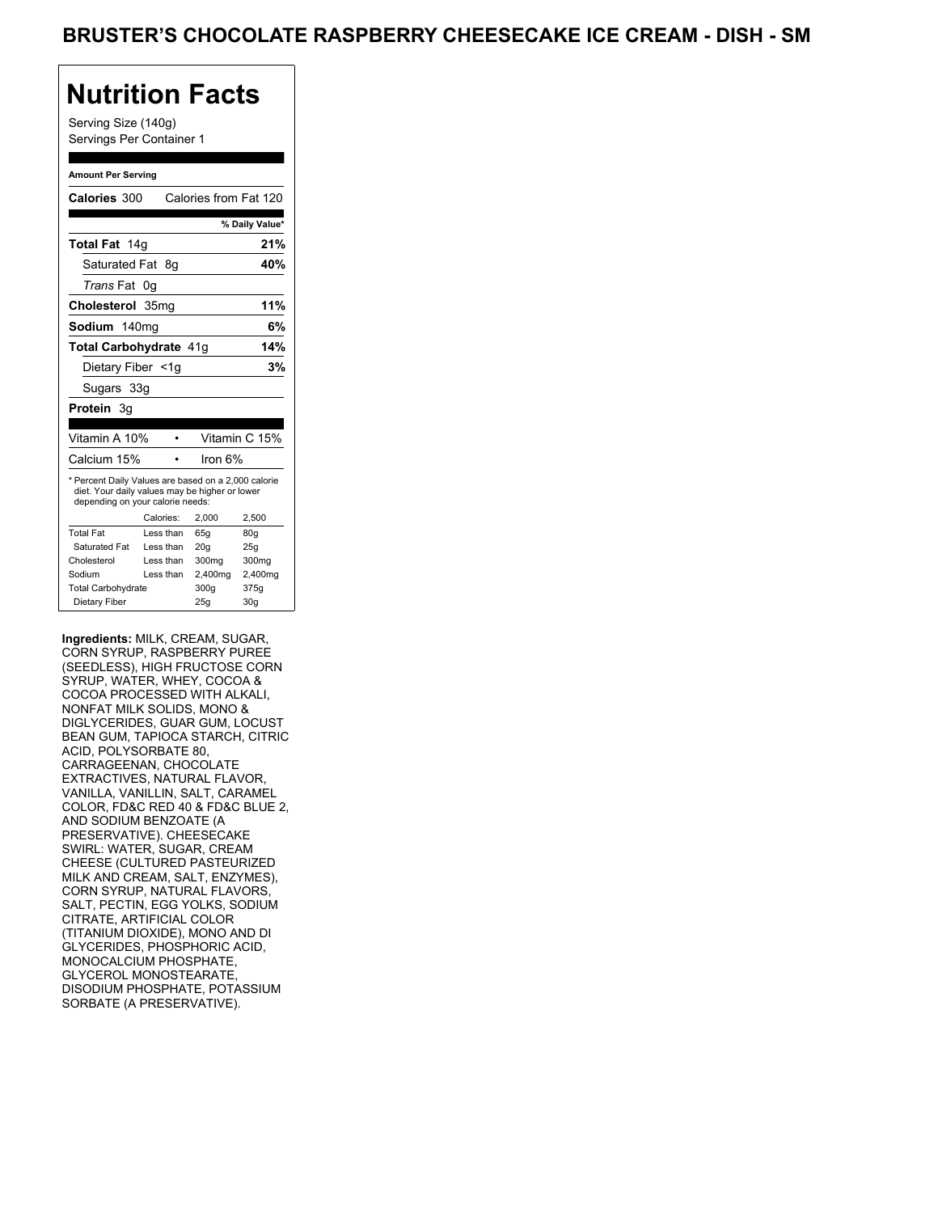## **Nutrition Facts**

Serving Size (140g) Servings Per Container 1

#### **Amount Per Serving**

| <b>Calories 300</b>                                                                                                                       |           | Calories from Fat 120 |               |                |
|-------------------------------------------------------------------------------------------------------------------------------------------|-----------|-----------------------|---------------|----------------|
|                                                                                                                                           |           |                       |               | % Daily Value* |
| Total Fat 14g                                                                                                                             |           |                       |               | 21%            |
| Saturated Fat 8q                                                                                                                          |           |                       |               | 40%            |
| <i>Trans</i> Fat                                                                                                                          | 0g        |                       |               |                |
| Cholesterol 35mg                                                                                                                          |           |                       |               | 11%            |
| Sodium 140ma                                                                                                                              |           |                       |               | 6%             |
| Total Carbohydrate 41g                                                                                                                    |           |                       |               | 14%            |
| Dietary Fiber <1g                                                                                                                         |           |                       |               | 3%             |
| Sugars 33g                                                                                                                                |           |                       |               |                |
| Protein 3q                                                                                                                                |           |                       |               |                |
|                                                                                                                                           |           |                       |               |                |
| Vitamin A 10%                                                                                                                             |           |                       | Vitamin C 15% |                |
| Calcium 15%                                                                                                                               |           |                       | Iron 6%       |                |
| * Percent Daily Values are based on a 2,000 calorie<br>diet. Your daily values may be higher or lower<br>depending on your calorie needs: |           |                       |               |                |
|                                                                                                                                           | Calories: | 2,000                 |               | 2,500          |
| <b>Total Fat</b>                                                                                                                          | Less than | 65q                   |               | 80g            |
| Saturated Fat                                                                                                                             | Less than | 20q                   |               | 25g            |
| Cholesterol                                                                                                                               | Less than | 300mg                 |               | 300mg          |
| Sodium                                                                                                                                    | Less than | 2,400mg               |               | 2,400mg        |
| <b>Total Carbohydrate</b>                                                                                                                 |           | 300g                  |               | 375g           |
|                                                                                                                                           |           |                       |               |                |

**Ingredients:** MILK, CREAM, SUGAR, CORN SYRUP, RASPBERRY PUREE (SEEDLESS), HIGH FRUCTOSE CORN SYRUP, WATER, WHEY, COCOA & COCOA PROCESSED WITH ALKALI, NONFAT MILK SOLIDS, MONO & DIGLYCERIDES, GUAR GUM, LOCUST BEAN GUM, TAPIOCA STARCH, CITRIC ACID, POLYSORBATE 80, CARRAGEENAN, CHOCOLATE EXTRACTIVES, NATURAL FLAVOR, VANILLA, VANILLIN, SALT, CARAMEL COLOR, FD&C RED 40 & FD&C BLUE 2, AND SODIUM BENZOATE (A PRESERVATIVE). CHEESECAKE SWIRL: WATER, SUGAR, CREAM CHEESE (CULTURED PASTEURIZED MILK AND CREAM, SALT, ENZYMES), CORN SYRUP, NATURAL FLAVORS, SALT, PECTIN, EGG YOLKS, SODIUM CITRATE, ARTIFICIAL COLOR (TITANIUM DIOXIDE), MONO AND DI GLYCERIDES, PHOSPHORIC ACID, MONOCALCIUM PHOSPHATE, GLYCEROL MONOSTEARATE, DISODIUM PHOSPHATE, POTASSIUM SORBATE (A PRESERVATIVE).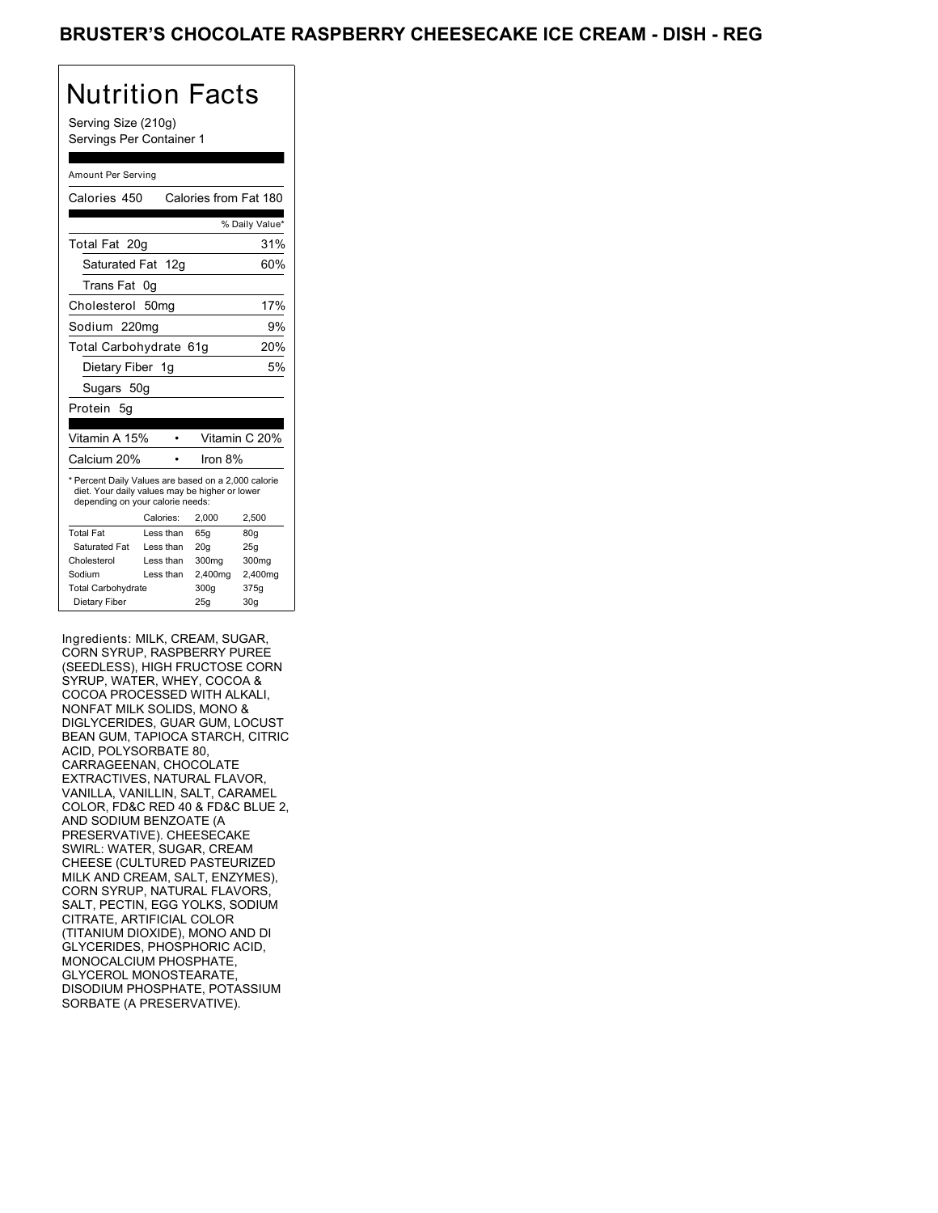# Nutrition Facts

Serving Size (210g) Servings Per Container 1

#### Amount Per Serving

| Calories 450                                                                                                                              |    |           | Calories from Fat 180 |                 |
|-------------------------------------------------------------------------------------------------------------------------------------------|----|-----------|-----------------------|-----------------|
|                                                                                                                                           |    |           |                       | % Daily Value*  |
| Total Fat 20g                                                                                                                             |    |           |                       | 31%             |
| Saturated Fat 12g                                                                                                                         |    |           |                       | 60%             |
| Trans Fat                                                                                                                                 | 0g |           |                       |                 |
| Cholesterol 50mg                                                                                                                          |    |           |                       | 17%             |
| Sodium 220mg                                                                                                                              |    |           |                       | 9%              |
| Total Carbohydrate 61g                                                                                                                    |    |           |                       | 20%             |
| Dietary Fiber 1q                                                                                                                          |    |           |                       | 5%              |
| Sugars 50g                                                                                                                                |    |           |                       |                 |
| Protein<br>- 5g                                                                                                                           |    |           |                       |                 |
|                                                                                                                                           |    |           |                       |                 |
| Vitamin A 15%                                                                                                                             |    |           |                       | Vitamin C 20%   |
| Calcium 20%                                                                                                                               |    |           | Iron 8%               |                 |
| * Percent Daily Values are based on a 2,000 calorie<br>diet. Your daily values may be higher or lower<br>depending on your calorie needs: |    |           |                       |                 |
|                                                                                                                                           |    | Calories: | 2.000                 | 2,500           |
| <b>Total Fat</b>                                                                                                                          |    | Less than | 65q                   | 80q             |
| Saturated Fat                                                                                                                             |    | Less than | 20q                   | 25q             |
| Cholesterol                                                                                                                               |    | Less than | 300mg                 | 300mg           |
| Sodium                                                                                                                                    |    | Less than | 2,400mg               | 2,400mg         |
| <b>Total Carbohydrate</b>                                                                                                                 |    |           | 300q                  | 375g            |
| Dietary Fiber                                                                                                                             |    |           | 25q                   | 30 <sub>g</sub> |

Ingredients: MILK, CREAM, SUGAR, CORN SYRUP, RASPBERRY PUREE (SEEDLESS), HIGH FRUCTOSE CORN SYRUP, WATER, WHEY, COCOA & COCOA PROCESSED WITH ALKALI, NONFAT MILK SOLIDS, MONO & DIGLYCERIDES, GUAR GUM, LOCUST BEAN GUM, TAPIOCA STARCH, CITRIC ACID, POLYSORBATE 80, CARRAGEENAN, CHOCOLATE EXTRACTIVES, NATURAL FLAVOR, VANILLA, VANILLIN, SALT, CARAMEL COLOR, FD&C RED 40 & FD&C BLUE 2, AND SODIUM BENZOATE (A PRESERVATIVE). CHEESECAKE SWIRL: WATER, SUGAR, CREAM CHEESE (CULTURED PASTEURIZED MILK AND CREAM, SALT, ENZYMES), CORN SYRUP, NATURAL FLAVORS, SALT, PECTIN, EGG YOLKS, SODIUM CITRATE, ARTIFICIAL COLOR (TITANIUM DIOXIDE), MONO AND DI GLYCERIDES, PHOSPHORIC ACID, MONOCALCIUM PHOSPHATE, GLYCEROL MONOSTEARATE, DISODIUM PHOSPHATE, POTASSIUM SORBATE (A PRESERVATIVE).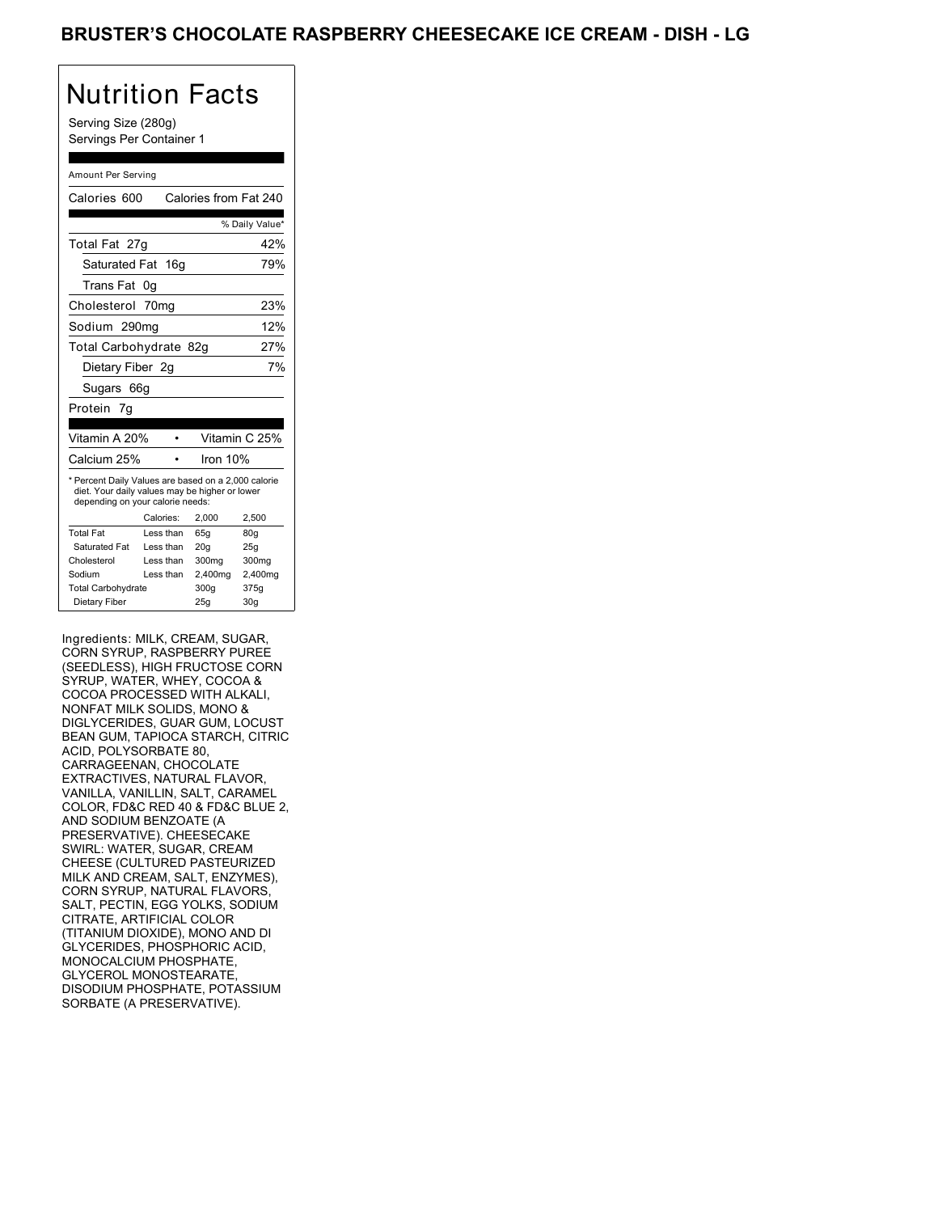# Nutrition Facts

Serving Size (280g) Servings Per Container 1

#### Amount Per Serving

| Calories 600                                                                                                                              |           | Calories from Fat 240 |                |
|-------------------------------------------------------------------------------------------------------------------------------------------|-----------|-----------------------|----------------|
|                                                                                                                                           |           |                       | % Daily Value* |
| Total Fat 27g                                                                                                                             |           |                       | 42%            |
| Saturated Fat                                                                                                                             | 16q       |                       | 79%            |
| Trans Fat                                                                                                                                 | 0g        |                       |                |
| Cholesterol 70mg                                                                                                                          |           |                       | 23%            |
| Sodium 290mg                                                                                                                              |           |                       | 12%            |
| Total Carbohydrate 82g                                                                                                                    |           |                       | 27%            |
| Dietary Fiber 2q                                                                                                                          |           |                       | 7%             |
| Sugars 66g                                                                                                                                |           |                       |                |
| Protein 7q                                                                                                                                |           |                       |                |
|                                                                                                                                           |           |                       |                |
| Vitamin A 20%                                                                                                                             |           |                       | Vitamin C 25%  |
| Calcium 25%                                                                                                                               |           | Iron 10%              |                |
| * Percent Daily Values are based on a 2,000 calorie<br>diet. Your daily values may be higher or lower<br>depending on your calorie needs: |           |                       |                |
|                                                                                                                                           | Calories: | 2.000                 | 2.500          |
| <b>Total Fat</b>                                                                                                                          | Less than | 65q                   | 80q            |
| Saturated Fat                                                                                                                             | Less than | 20q                   | 25g            |
| Cholesterol                                                                                                                               | Less than | 300mg                 | 300mg          |
| Sodium                                                                                                                                    | Less than | 2,400mg               | 2,400mg        |
| <b>Total Carbohydrate</b>                                                                                                                 |           | 300g                  | 375g           |
| Dietary Fiber                                                                                                                             |           | 25q                   | 30q            |

Ingredients: MILK, CREAM, SUGAR, CORN SYRUP, RASPBERRY PUREE (SEEDLESS), HIGH FRUCTOSE CORN SYRUP, WATER, WHEY, COCOA & COCOA PROCESSED WITH ALKALI, NONFAT MILK SOLIDS, MONO & DIGLYCERIDES, GUAR GUM, LOCUST BEAN GUM, TAPIOCA STARCH, CITRIC ACID, POLYSORBATE 80, CARRAGEENAN, CHOCOLATE EXTRACTIVES, NATURAL FLAVOR, VANILLA, VANILLIN, SALT, CARAMEL COLOR, FD&C RED 40 & FD&C BLUE 2, AND SODIUM BENZOATE (A PRESERVATIVE). CHEESECAKE SWIRL: WATER, SUGAR, CREAM CHEESE (CULTURED PASTEURIZED MILK AND CREAM, SALT, ENZYMES), CORN SYRUP, NATURAL FLAVORS, SALT, PECTIN, EGG YOLKS, SODIUM CITRATE, ARTIFICIAL COLOR (TITANIUM DIOXIDE), MONO AND DI GLYCERIDES, PHOSPHORIC ACID, MONOCALCIUM PHOSPHATE, GLYCEROL MONOSTEARATE, DISODIUM PHOSPHATE, POTASSIUM SORBATE (A PRESERVATIVE).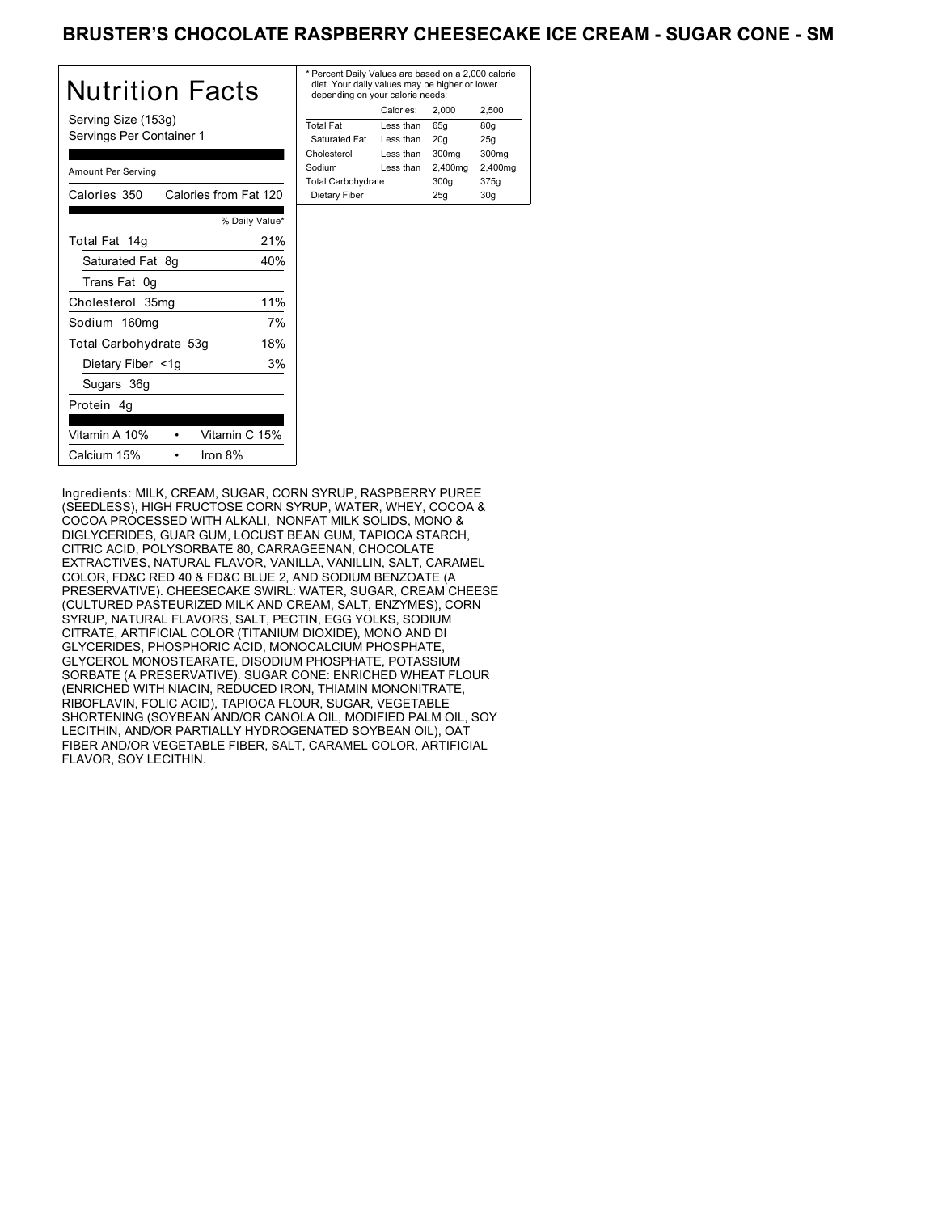### BRUSTER'S CHOCOLATE RASPBERRY CHEESECAKE ICE CREAM - SUGAR CONE - SM

| Nutrition Facts                                 | * Pe<br>die<br>de |
|-------------------------------------------------|-------------------|
| Serving Size (153g)<br>Servings Per Container 1 | Tota<br>Sa<br>Chc |
| Amount Per Serving                              | Sod<br>Tota       |
| Calories from Fat 120<br>Calories 350           | D <sub>i</sub>    |
| % Daily Value*                                  |                   |
| 21%<br>Total Fat 14g                            |                   |
| Saturated Fat 8q<br>40%                         |                   |
| Trans Fat 0g                                    |                   |
| 11%<br>Cholesterol 35mg                         |                   |
| 7%<br>Sodium 160mg                              |                   |
| Total Carbohydrate 53g<br>18%                   |                   |
| 3%<br>Dietary Fiber <1g                         |                   |
| Sugars 36g                                      |                   |
| Protein 4q                                      |                   |
| Vitamin A 10%<br>Vitamin C 15%                  |                   |
| Calcium 15%<br>Iron 8%                          |                   |

| * Percent Daily Values are based on a 2,000 calorie<br>diet. Your daily values may be higher or lower<br>depending on your calorie needs: |           |         |         |  |
|-------------------------------------------------------------------------------------------------------------------------------------------|-----------|---------|---------|--|
|                                                                                                                                           | Calories: | 2.000   | 2.500   |  |
| <b>Total Fat</b>                                                                                                                          | Less than | 65q     | 80q     |  |
| Saturated Fat                                                                                                                             | Less than | 20q     | 25q     |  |
| Cholesterol                                                                                                                               | Less than | 300mg   | 300mg   |  |
| Sodium                                                                                                                                    | Less than | 2,400mg | 2,400mg |  |
| <b>Total Carbohydrate</b>                                                                                                                 |           | 300q    | 375g    |  |
| Dietary Fiber<br>25q<br>30q                                                                                                               |           |         |         |  |

Ingredients: MILK, CREAM, SUGAR, CORN SYRUP, RASPBERRY PUREE (SEEDLESS), HIGH FRUCTOSE CORN SYRUP, WATER, WHEY, COCOA & COCOA PROCESSED WITH ALKALI, NONFAT MILK SOLIDS, MONO & DIGLYCERIDES, GUAR GUM, LOCUST BEAN GUM, TAPIOCA STARCH, CITRIC ACID, POLYSORBATE 80, CARRAGEENAN, CHOCOLATE EXTRACTIVES, NATURAL FLAVOR, VANILLA, VANILLIN, SALT, CARAMEL COLOR, FD&C RED 40 & FD&C BLUE 2, AND SODIUM BENZOATE (A PRESERVATIVE). CHEESECAKE SWIRL: WATER, SUGAR, CREAM CHEESE (CULTURED PASTEURIZED MILK AND CREAM, SALT, ENZYMES), CORN SYRUP, NATURAL FLAVORS, SALT, PECTIN, EGG YOLKS, SODIUM CITRATE, ARTIFICIAL COLOR (TITANIUM DIOXIDE), MONO AND DI GLYCERIDES, PHOSPHORIC ACID, MONOCALCIUM PHOSPHATE, GLYCEROL MONOSTEARATE, DISODIUM PHOSPHATE, POTASSIUM SORBATE (A PRESERVATIVE). SUGAR CONE: ENRICHED WHEAT FLOUR (ENRICHED WITH NIACIN, REDUCED IRON, THIAMIN MONONITRATE, RIBOFLAVIN, FOLIC ACID), TAPIOCA FLOUR, SUGAR, VEGETABLE SHORTENING (SOYBEAN AND/OR CANOLA OIL, MODIFIED PALM OIL, SOY LECITHIN, AND/OR PARTIALLY HYDROGENATED SOYBEAN OIL), OAT FIBER AND/OR VEGETABLE FIBER, SALT, CARAMEL COLOR, ARTIFICIAL FLAVOR, SOY LECITHIN.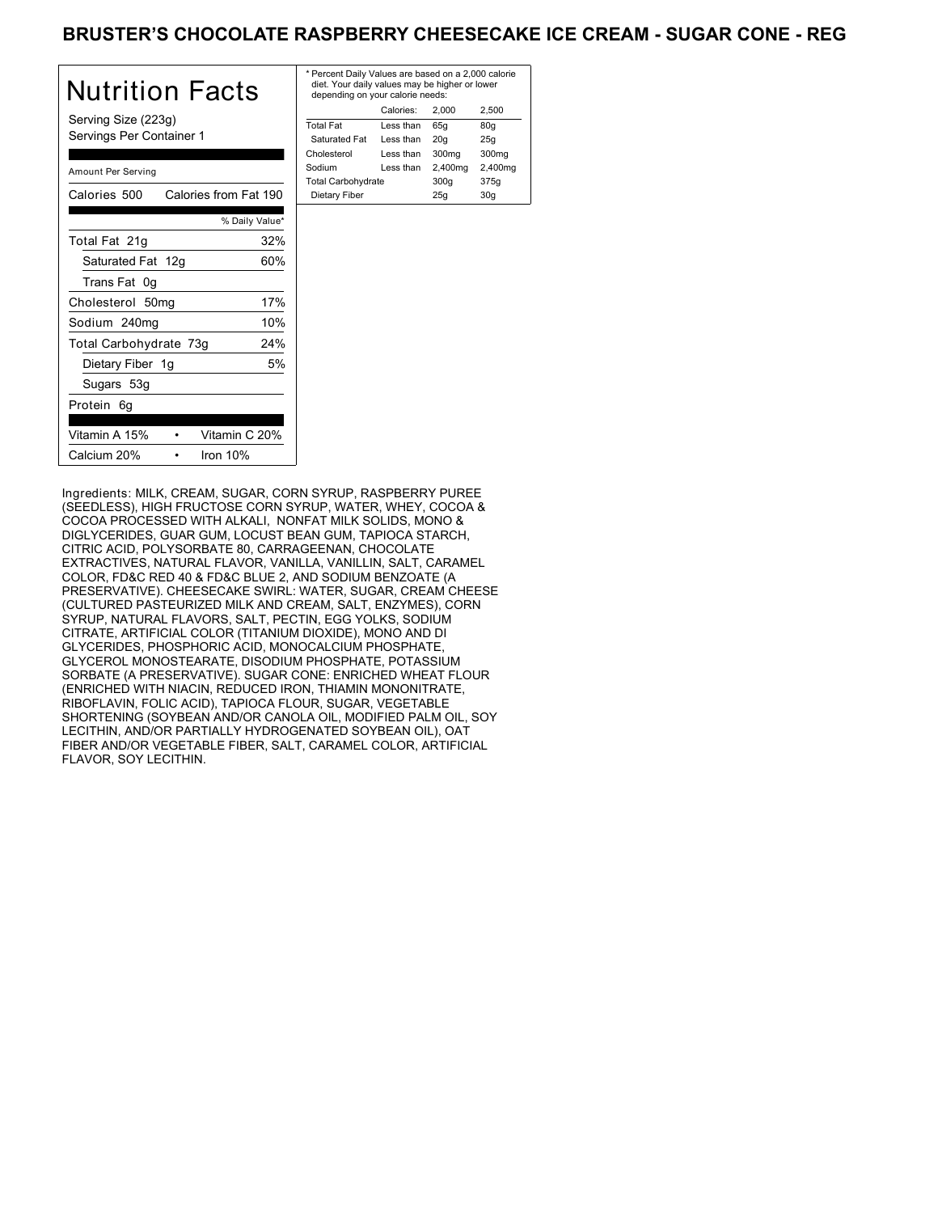### BRUSTER'S CHOCOLATE RASPBERRY CHEESECAKE ICE CREAM - SUGAR CONE - REG

| Nutrition Facts                                 | $*$ Pe<br>di<br>de |
|-------------------------------------------------|--------------------|
| Serving Size (223g)<br>Servings Per Container 1 | Tot<br>Sa<br>Cho   |
| Amount Per Serving                              | Soc<br>Tot         |
| Calories from Fat 190<br>Calories 500           | Di                 |
| % Daily Value*                                  |                    |
| 32%<br>Total Fat 21g                            |                    |
| 60%<br>Saturated Fat 12g                        |                    |
| Trans Fat 0g                                    |                    |
| 17%<br>Cholesterol 50mg                         |                    |
| 10%<br>Sodium 240mg                             |                    |
| 24%<br>Total Carbohydrate 73g                   |                    |
| Dietary Fiber 1g<br>5%                          |                    |
| Sugars 53g                                      |                    |
| Protein 6g                                      |                    |
| Vitamin A 15%<br>Vitamin C 20%                  |                    |
| Calcium 20%<br>Iron $10%$                       |                    |

| * Percent Daily Values are based on a 2,000 calorie<br>diet. Your daily values may be higher or lower<br>depending on your calorie needs: |           |         |         |  |
|-------------------------------------------------------------------------------------------------------------------------------------------|-----------|---------|---------|--|
|                                                                                                                                           | Calories: | 2.000   | 2.500   |  |
| <b>Total Fat</b>                                                                                                                          | Less than | 65q     | 80q     |  |
| Saturated Fat                                                                                                                             | Less than | 20q     | 25q     |  |
| Cholesterol                                                                                                                               | Less than | 300mg   | 300mg   |  |
| Sodium                                                                                                                                    | Less than | 2,400mg | 2,400mg |  |
| <b>Total Carbohydrate</b>                                                                                                                 |           | 300q    | 375g    |  |
| Dietary Fiber                                                                                                                             |           | 25q     | 30q     |  |
|                                                                                                                                           |           |         |         |  |

Ingredients: MILK, CREAM, SUGAR, CORN SYRUP, RASPBERRY PUREE (SEEDLESS), HIGH FRUCTOSE CORN SYRUP, WATER, WHEY, COCOA & COCOA PROCESSED WITH ALKALI, NONFAT MILK SOLIDS, MONO & DIGLYCERIDES, GUAR GUM, LOCUST BEAN GUM, TAPIOCA STARCH, CITRIC ACID, POLYSORBATE 80, CARRAGEENAN, CHOCOLATE EXTRACTIVES, NATURAL FLAVOR, VANILLA, VANILLIN, SALT, CARAMEL COLOR, FD&C RED 40 & FD&C BLUE 2, AND SODIUM BENZOATE (A PRESERVATIVE). CHEESECAKE SWIRL: WATER, SUGAR, CREAM CHEESE (CULTURED PASTEURIZED MILK AND CREAM, SALT, ENZYMES), CORN SYRUP, NATURAL FLAVORS, SALT, PECTIN, EGG YOLKS, SODIUM CITRATE, ARTIFICIAL COLOR (TITANIUM DIOXIDE), MONO AND DI GLYCERIDES, PHOSPHORIC ACID, MONOCALCIUM PHOSPHATE, GLYCEROL MONOSTEARATE, DISODIUM PHOSPHATE, POTASSIUM SORBATE (A PRESERVATIVE). SUGAR CONE: ENRICHED WHEAT FLOUR (ENRICHED WITH NIACIN, REDUCED IRON, THIAMIN MONONITRATE, RIBOFLAVIN, FOLIC ACID), TAPIOCA FLOUR, SUGAR, VEGETABLE SHORTENING (SOYBEAN AND/OR CANOLA OIL, MODIFIED PALM OIL, SOY LECITHIN, AND/OR PARTIALLY HYDROGENATED SOYBEAN OIL), OAT FIBER AND/OR VEGETABLE FIBER, SALT, CARAMEL COLOR, ARTIFICIAL FLAVOR, SOY LECITHIN.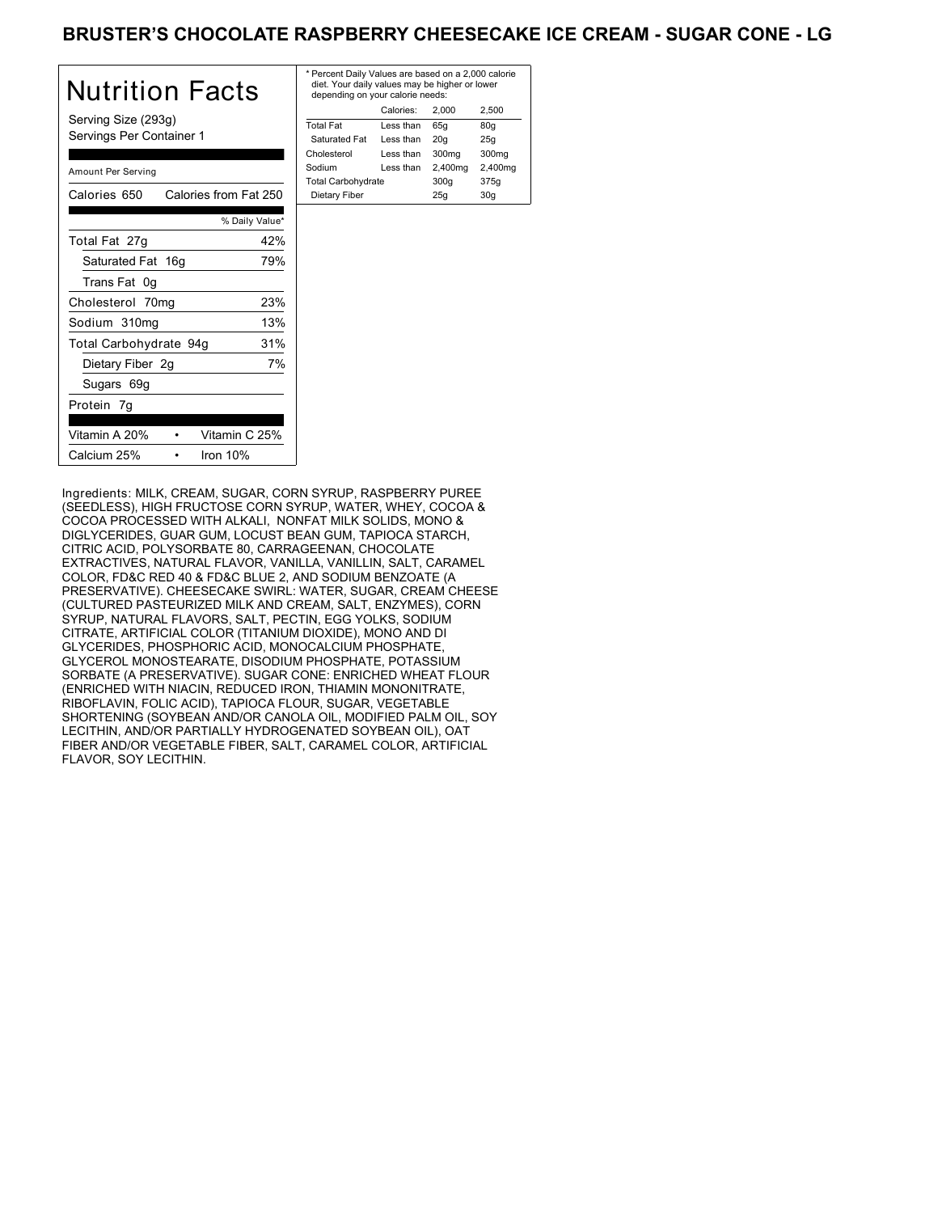### BRUSTER'S CHOCOLATE RASPBERRY CHEESECAKE ICE CREAM - SUGAR CONE - LG

| <b>Nutrition Facts</b>                          | * P<br>d<br>d |
|-------------------------------------------------|---------------|
| Serving Size (293g)<br>Servings Per Container 1 | To<br>S<br>Ch |
| Amount Per Serving                              | So<br>Τo      |
| Calories 650 Calories from Fat 250              | D             |
| % Daily Value*                                  |               |
| 42%<br>Total Fat 27g                            |               |
| 79%<br>Saturated Fat 16g                        |               |
| Trans Fat 0g                                    |               |
| 23%<br>Cholesterol 70mg                         |               |
| 13%<br>Sodium 310mg                             |               |
| 31%<br>Total Carbohydrate 94g                   |               |
| 7%<br>Dietary Fiber 2g                          |               |
| Sugars 69g                                      |               |
| Protein 7g                                      |               |
| Vitamin C 25%<br>Vitamin A 20%                  |               |
| Calcium 25%<br>Iron $10%$                       |               |

| * Percent Daily Values are based on a 2,000 calorie<br>diet. Your daily values may be higher or lower<br>depending on your calorie needs: |           |         |         |  |
|-------------------------------------------------------------------------------------------------------------------------------------------|-----------|---------|---------|--|
|                                                                                                                                           | Calories: | 2.000   | 2.500   |  |
| <b>Total Fat</b>                                                                                                                          | Less than | 65q     | 80q     |  |
| Saturated Fat                                                                                                                             | Less than | 20q     | 25q     |  |
| Cholesterol                                                                                                                               | Less than | 300mg   | 300mg   |  |
| Sodium                                                                                                                                    | Less than | 2,400mg | 2,400mg |  |
| <b>Total Carbohydrate</b>                                                                                                                 |           | 300q    | 375g    |  |
| Dietary Fiber<br>25q<br>30q                                                                                                               |           |         |         |  |
|                                                                                                                                           |           |         |         |  |

Ingredients: MILK, CREAM, SUGAR, CORN SYRUP, RASPBERRY PUREE (SEEDLESS), HIGH FRUCTOSE CORN SYRUP, WATER, WHEY, COCOA & COCOA PROCESSED WITH ALKALI, NONFAT MILK SOLIDS, MONO & DIGLYCERIDES, GUAR GUM, LOCUST BEAN GUM, TAPIOCA STARCH, CITRIC ACID, POLYSORBATE 80, CARRAGEENAN, CHOCOLATE EXTRACTIVES, NATURAL FLAVOR, VANILLA, VANILLIN, SALT, CARAMEL COLOR, FD&C RED 40 & FD&C BLUE 2, AND SODIUM BENZOATE (A PRESERVATIVE). CHEESECAKE SWIRL: WATER, SUGAR, CREAM CHEESE (CULTURED PASTEURIZED MILK AND CREAM, SALT, ENZYMES), CORN SYRUP, NATURAL FLAVORS, SALT, PECTIN, EGG YOLKS, SODIUM CITRATE, ARTIFICIAL COLOR (TITANIUM DIOXIDE), MONO AND DI GLYCERIDES, PHOSPHORIC ACID, MONOCALCIUM PHOSPHATE, GLYCEROL MONOSTEARATE, DISODIUM PHOSPHATE, POTASSIUM SORBATE (A PRESERVATIVE). SUGAR CONE: ENRICHED WHEAT FLOUR (ENRICHED WITH NIACIN, REDUCED IRON, THIAMIN MONONITRATE, RIBOFLAVIN, FOLIC ACID), TAPIOCA FLOUR, SUGAR, VEGETABLE SHORTENING (SOYBEAN AND/OR CANOLA OIL, MODIFIED PALM OIL, SOY LECITHIN, AND/OR PARTIALLY HYDROGENATED SOYBEAN OIL), OAT FIBER AND/OR VEGETABLE FIBER, SALT, CARAMEL COLOR, ARTIFICIAL FLAVOR, SOY LECITHIN.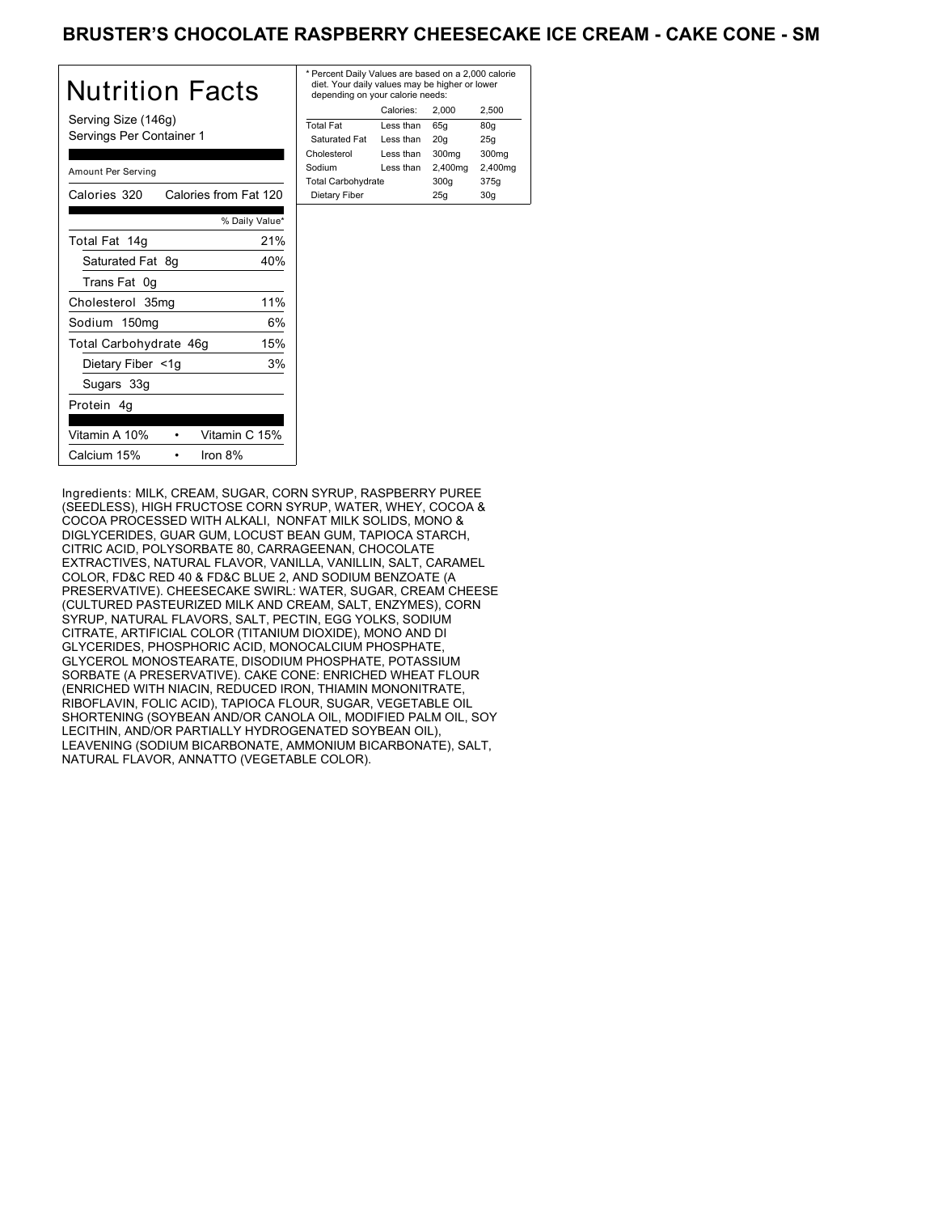### BRUSTER'S CHOCOLATE RASPBERRY CHEESECAKE ICE CREAM - CAKE CONE - SM

| Nutrition Facts                                 | $*$ Pe<br>die<br>de |
|-------------------------------------------------|---------------------|
| Serving Size (146g)<br>Servings Per Container 1 | Tota<br>Sa<br>Cho   |
| Amount Per Serving                              | Soc<br>Tota         |
| Calories 320<br>Calories from Fat 120           | Di                  |
| % Daily Value*                                  |                     |
| 21%<br>Total Fat 14g                            |                     |
| 40%<br>Saturated Fat 8q                         |                     |
| Trans Fat 0g                                    |                     |
| 11%<br>Cholesterol 35mg                         |                     |
| 6%<br>Sodium 150mg                              |                     |
| 15%<br>Total Carbohydrate 46g                   |                     |
| 3%<br>Dietary Fiber <1g                         |                     |
| Sugars 33g                                      |                     |
| Protein 4g                                      |                     |
| Vitamin A 10%<br>Vitamin C 15%                  |                     |
| Calcium 15%<br>Iron $8%$                        |                     |

| * Percent Daily Values are based on a 2,000 calorie<br>diet. Your daily values may be higher or lower<br>depending on your calorie needs: |           |         |         |  |
|-------------------------------------------------------------------------------------------------------------------------------------------|-----------|---------|---------|--|
|                                                                                                                                           | Calories: | 2.000   | 2.500   |  |
| <b>Total Fat</b>                                                                                                                          | Less than | 65q     | 80q     |  |
| Saturated Fat                                                                                                                             | Less than | 20q     | 25q     |  |
| Cholesterol                                                                                                                               | Less than | 300mg   | 300mg   |  |
| Sodium                                                                                                                                    | Less than | 2,400mg | 2,400mg |  |
| <b>Total Carbohydrate</b>                                                                                                                 |           | 300q    | 375g    |  |
| Dietary Fiber<br>25q<br>30q                                                                                                               |           |         |         |  |

Ingredients: MILK, CREAM, SUGAR, CORN SYRUP, RASPBERRY PUREE (SEEDLESS), HIGH FRUCTOSE CORN SYRUP, WATER, WHEY, COCOA & COCOA PROCESSED WITH ALKALI, NONFAT MILK SOLIDS, MONO & DIGLYCERIDES, GUAR GUM, LOCUST BEAN GUM, TAPIOCA STARCH, CITRIC ACID, POLYSORBATE 80, CARRAGEENAN, CHOCOLATE EXTRACTIVES, NATURAL FLAVOR, VANILLA, VANILLIN, SALT, CARAMEL COLOR, FD&C RED 40 & FD&C BLUE 2, AND SODIUM BENZOATE (A PRESERVATIVE). CHEESECAKE SWIRL: WATER, SUGAR, CREAM CHEESE (CULTURED PASTEURIZED MILK AND CREAM, SALT, ENZYMES), CORN SYRUP, NATURAL FLAVORS, SALT, PECTIN, EGG YOLKS, SODIUM CITRATE, ARTIFICIAL COLOR (TITANIUM DIOXIDE), MONO AND DI GLYCERIDES, PHOSPHORIC ACID, MONOCALCIUM PHOSPHATE, GLYCEROL MONOSTEARATE, DISODIUM PHOSPHATE, POTASSIUM SORBATE (A PRESERVATIVE). CAKE CONE: ENRICHED WHEAT FLOUR (ENRICHED WITH NIACIN, REDUCED IRON, THIAMIN MONONITRATE, RIBOFLAVIN, FOLIC ACID), TAPIOCA FLOUR, SUGAR, VEGETABLE OIL SHORTENING (SOYBEAN AND/OR CANOLA OIL, MODIFIED PALM OIL, SOY LECITHIN, AND/OR PARTIALLY HYDROGENATED SOYBEAN OIL), LEAVENING (SODIUM BICARBONATE, AMMONIUM BICARBONATE), SALT, NATURAL FLAVOR, ANNATTO (VEGETABLE COLOR).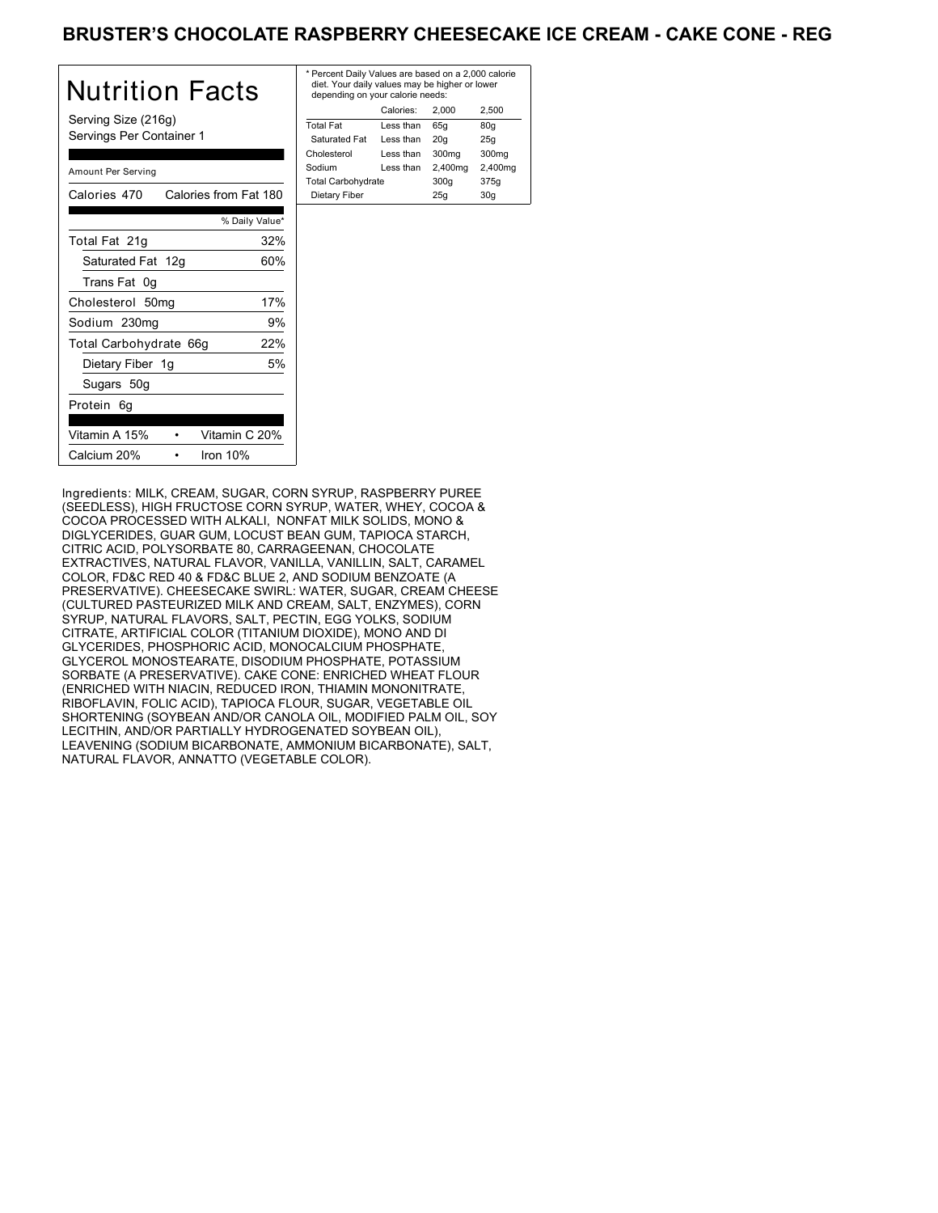### BRUSTER'S CHOCOLATE RASPBERRY CHEESECAKE ICE CREAM - CAKE CONE - REG

| Nutrition Facts                                 | * Pe<br>die<br>de |
|-------------------------------------------------|-------------------|
| Serving Size (216g)<br>Servings Per Container 1 | Tota<br>Sa<br>Chc |
| Amount Per Serving                              | Sod<br>Tota       |
| Calories from Fat 180<br>Calories 470           | Die               |
| % Daily Value*                                  |                   |
| 32%<br>Total Fat 21g                            |                   |
| 60%<br>Saturated Fat 12g                        |                   |
| Trans Fat 0g                                    |                   |
| 17%<br>Cholesterol 50mg                         |                   |
| 9%<br>Sodium 230mg                              |                   |
| 22%<br>Total Carbohydrate 66g                   |                   |
| 5%<br>Dietary Fiber 1g                          |                   |
| Sugars 50g                                      |                   |
| Protein 6q                                      |                   |
| Vitamin A 15%<br>Vitamin C 20%                  |                   |
| Calcium 20%<br>Iron $10%$                       |                   |

| * Percent Daily Values are based on a 2,000 calorie<br>diet. Your daily values may be higher or lower<br>depending on your calorie needs: |           |         |                   |
|-------------------------------------------------------------------------------------------------------------------------------------------|-----------|---------|-------------------|
|                                                                                                                                           | Calories: | 2.000   | 2.500             |
| <b>Total Fat</b>                                                                                                                          | Less than | 65q     | 80q               |
| Saturated Fat                                                                                                                             | Less than | 20q     | 25q               |
| Cholesterol                                                                                                                               | Less than | 300mg   | 300 <sub>mq</sub> |
| Sodium                                                                                                                                    | Less than | 2,400mg | 2,400mg           |
| <b>Total Carbohydrate</b>                                                                                                                 |           | 300q    | 375g              |
| Dietary Fiber                                                                                                                             |           | 25q     | 30q               |
|                                                                                                                                           |           |         |                   |

Ingredients: MILK, CREAM, SUGAR, CORN SYRUP, RASPBERRY PUREE (SEEDLESS), HIGH FRUCTOSE CORN SYRUP, WATER, WHEY, COCOA & COCOA PROCESSED WITH ALKALI, NONFAT MILK SOLIDS, MONO & DIGLYCERIDES, GUAR GUM, LOCUST BEAN GUM, TAPIOCA STARCH, CITRIC ACID, POLYSORBATE 80, CARRAGEENAN, CHOCOLATE EXTRACTIVES, NATURAL FLAVOR, VANILLA, VANILLIN, SALT, CARAMEL COLOR, FD&C RED 40 & FD&C BLUE 2, AND SODIUM BENZOATE (A PRESERVATIVE). CHEESECAKE SWIRL: WATER, SUGAR, CREAM CHEESE (CULTURED PASTEURIZED MILK AND CREAM, SALT, ENZYMES), CORN SYRUP, NATURAL FLAVORS, SALT, PECTIN, EGG YOLKS, SODIUM CITRATE, ARTIFICIAL COLOR (TITANIUM DIOXIDE), MONO AND DI GLYCERIDES, PHOSPHORIC ACID, MONOCALCIUM PHOSPHATE, GLYCEROL MONOSTEARATE, DISODIUM PHOSPHATE, POTASSIUM SORBATE (A PRESERVATIVE). CAKE CONE: ENRICHED WHEAT FLOUR (ENRICHED WITH NIACIN, REDUCED IRON, THIAMIN MONONITRATE, RIBOFLAVIN, FOLIC ACID), TAPIOCA FLOUR, SUGAR, VEGETABLE OIL SHORTENING (SOYBEAN AND/OR CANOLA OIL, MODIFIED PALM OIL, SOY LECITHIN, AND/OR PARTIALLY HYDROGENATED SOYBEAN OIL), LEAVENING (SODIUM BICARBONATE, AMMONIUM BICARBONATE), SALT, NATURAL FLAVOR, ANNATTO (VEGETABLE COLOR).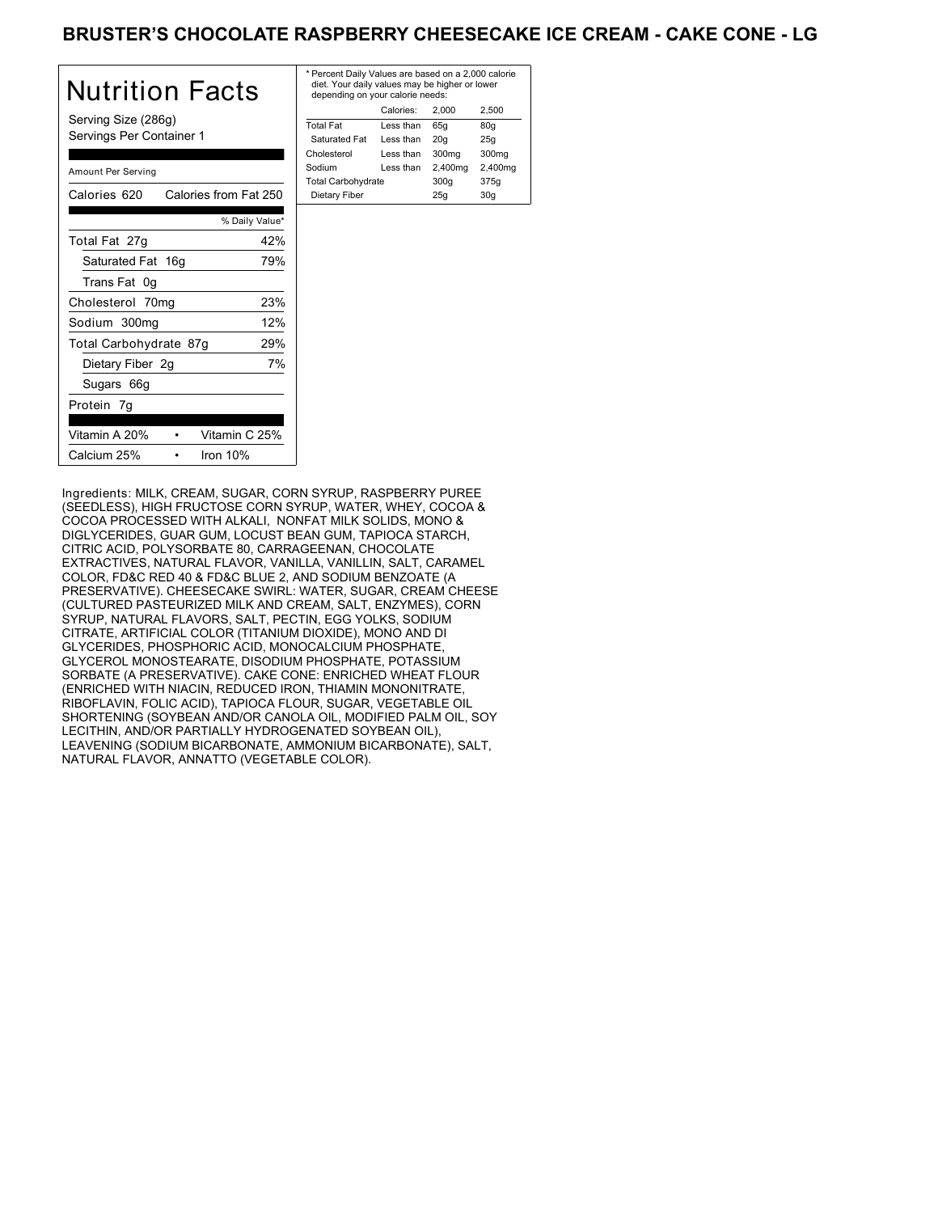### BRUSTER'S CHOCOLATE RASPBERRY CHEESECAKE ICE CREAM - CAKE CONE - LG

| <b>Nutrition Facts</b>                          | * P<br>d<br>d |
|-------------------------------------------------|---------------|
| Serving Size (286g)<br>Servings Per Container 1 | To<br>S<br>Ch |
| Amount Per Serving                              | So<br>Τo      |
| Calories from Fat 250<br>Calories 620           | D             |
| % Daily Value*                                  |               |
| 42%<br>Total Fat 27g                            |               |
| 79%<br>Saturated Fat 16g                        |               |
| Trans Fat 0g                                    |               |
| 23%<br>Cholesterol 70mg                         |               |
| 12%<br>Sodium 300mg                             |               |
| Total Carbohydrate 87g<br>29%                   |               |
| 7%<br>Dietary Fiber 2g                          |               |
| Sugars 66g                                      |               |
| Protein 7g                                      |               |
| Vitamin A 20%<br>Vitamin C 25%                  |               |
| Calcium 25%<br>Iron $10%$                       |               |

| * Percent Daily Values are based on a 2,000 calorie<br>diet. Your daily values may be higher or lower<br>depending on your calorie needs: |                   |             |  |
|-------------------------------------------------------------------------------------------------------------------------------------------|-------------------|-------------|--|
| Calories:                                                                                                                                 | 2.000             | 2.500       |  |
| Less than                                                                                                                                 | 65q               | 80q         |  |
| Less than                                                                                                                                 | 20q               | 25q         |  |
| Less than                                                                                                                                 | 300 <sub>ma</sub> | 300mg       |  |
| Less than                                                                                                                                 | 2,400mg           | 2,400mg     |  |
| <b>Total Carbohydrate</b>                                                                                                                 |                   | 375g        |  |
| Dietary Fiber                                                                                                                             |                   | 30q         |  |
|                                                                                                                                           |                   | 300q<br>25q |  |

Ingredients: MILK, CREAM, SUGAR, CORN SYRUP, RASPBERRY PUREE (SEEDLESS), HIGH FRUCTOSE CORN SYRUP, WATER, WHEY, COCOA & COCOA PROCESSED WITH ALKALI, NONFAT MILK SOLIDS, MONO & DIGLYCERIDES, GUAR GUM, LOCUST BEAN GUM, TAPIOCA STARCH, CITRIC ACID, POLYSORBATE 80, CARRAGEENAN, CHOCOLATE EXTRACTIVES, NATURAL FLAVOR, VANILLA, VANILLIN, SALT, CARAMEL COLOR, FD&C RED 40 & FD&C BLUE 2, AND SODIUM BENZOATE (A PRESERVATIVE). CHEESECAKE SWIRL: WATER, SUGAR, CREAM CHEESE (CULTURED PASTEURIZED MILK AND CREAM, SALT, ENZYMES), CORN SYRUP, NATURAL FLAVORS, SALT, PECTIN, EGG YOLKS, SODIUM CITRATE, ARTIFICIAL COLOR (TITANIUM DIOXIDE), MONO AND DI GLYCERIDES, PHOSPHORIC ACID, MONOCALCIUM PHOSPHATE, GLYCEROL MONOSTEARATE, DISODIUM PHOSPHATE, POTASSIUM SORBATE (A PRESERVATIVE). CAKE CONE: ENRICHED WHEAT FLOUR (ENRICHED WITH NIACIN, REDUCED IRON, THIAMIN MONONITRATE, RIBOFLAVIN, FOLIC ACID), TAPIOCA FLOUR, SUGAR, VEGETABLE OIL SHORTENING (SOYBEAN AND/OR CANOLA OIL, MODIFIED PALM OIL, SOY LECITHIN, AND/OR PARTIALLY HYDROGENATED SOYBEAN OIL), LEAVENING (SODIUM BICARBONATE, AMMONIUM BICARBONATE), SALT, NATURAL FLAVOR, ANNATTO (VEGETABLE COLOR).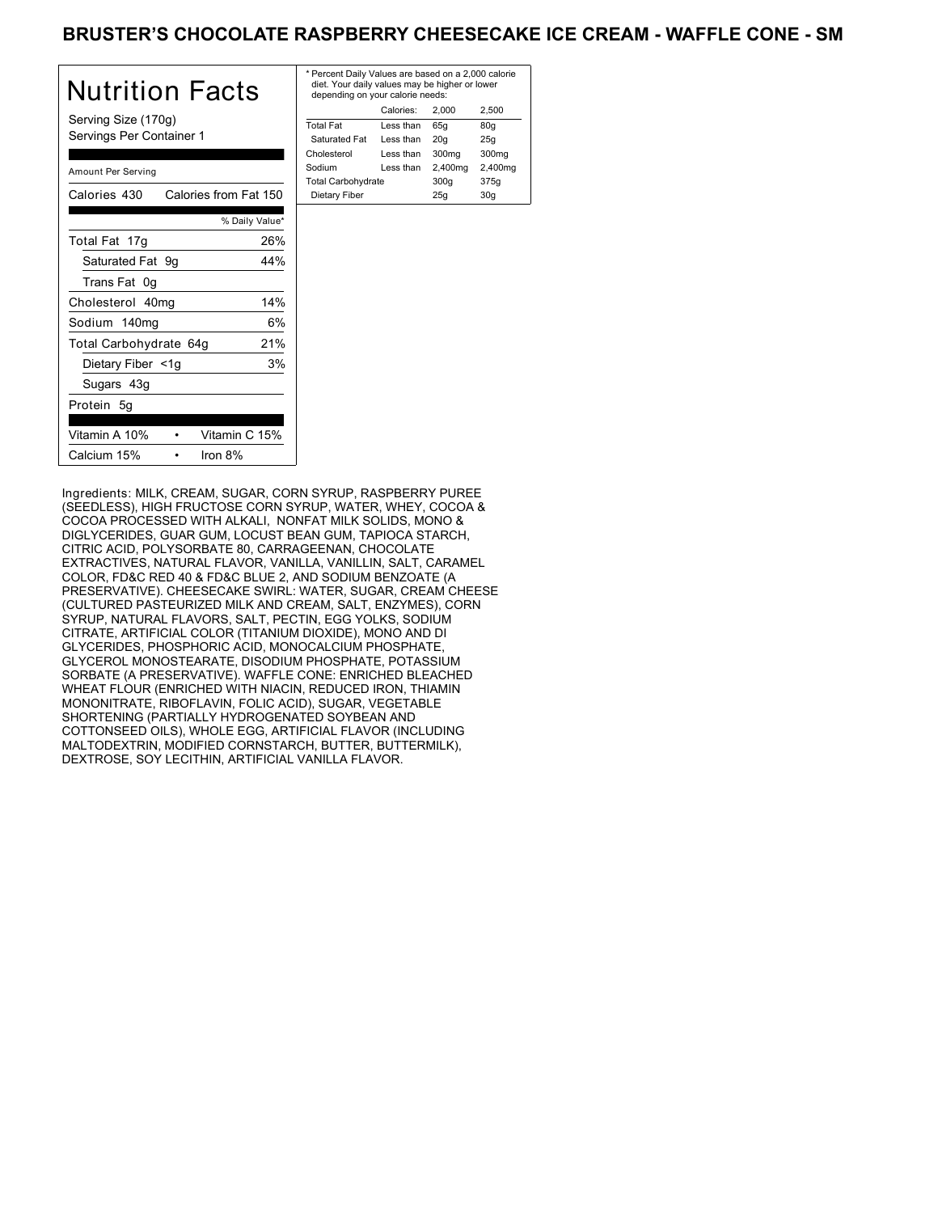### BRUSTER'S CHOCOLATE RASPBERRY CHEESECAKE ICE CREAM - WAFFLE CONE - SM

| Nutrition Facts                                 | $*$ Pe<br>die<br>de |
|-------------------------------------------------|---------------------|
| Serving Size (170g)<br>Servings Per Container 1 | Tota<br>Sa<br>Cho   |
| Amount Per Serving                              | Soc<br>Tota         |
| Calories from Fat 150<br>Calories 430           | Di                  |
| % Daily Value*                                  |                     |
| 26%<br>Total Fat 17g                            |                     |
| Saturated Fat 9g<br>44%                         |                     |
| Trans Fat 0g                                    |                     |
| 14%<br>Cholesterol 40mg                         |                     |
| 6%<br>Sodium 140mg                              |                     |
| 21%<br>Total Carbohydrate 64g                   |                     |
| Dietary Fiber <1g<br>3%                         |                     |
| Sugars 43g                                      |                     |
| Protein 5q                                      |                     |
| Vitamin A 10%<br>Vitamin C 15%                  |                     |
| Calcium 15%<br>Iron 8%                          |                     |

| * Percent Daily Values are based on a 2,000 calorie<br>diet. Your daily values may be higher or lower<br>depending on your calorie needs: |           |         |         |
|-------------------------------------------------------------------------------------------------------------------------------------------|-----------|---------|---------|
|                                                                                                                                           | Calories: | 2.000   | 2.500   |
| <b>Total Fat</b>                                                                                                                          | Less than | 65q     | 80q     |
| Saturated Fat                                                                                                                             | Less than | 20q     | 25q     |
| Cholesterol                                                                                                                               | Less than | 300mg   | 300mg   |
| Sodium                                                                                                                                    | Less than | 2,400mg | 2,400mg |
| <b>Total Carbohydrate</b>                                                                                                                 |           | 300q    | 375g    |
| Dietary Fiber                                                                                                                             |           | 25q     | 30q     |

Ingredients: MILK, CREAM, SUGAR, CORN SYRUP, RASPBERRY PUREE (SEEDLESS), HIGH FRUCTOSE CORN SYRUP, WATER, WHEY, COCOA & COCOA PROCESSED WITH ALKALI, NONFAT MILK SOLIDS, MONO & DIGLYCERIDES, GUAR GUM, LOCUST BEAN GUM, TAPIOCA STARCH, CITRIC ACID, POLYSORBATE 80, CARRAGEENAN, CHOCOLATE EXTRACTIVES, NATURAL FLAVOR, VANILLA, VANILLIN, SALT, CARAMEL COLOR, FD&C RED 40 & FD&C BLUE 2, AND SODIUM BENZOATE (A PRESERVATIVE). CHEESECAKE SWIRL: WATER, SUGAR, CREAM CHEESE (CULTURED PASTEURIZED MILK AND CREAM, SALT, ENZYMES), CORN SYRUP, NATURAL FLAVORS, SALT, PECTIN, EGG YOLKS, SODIUM CITRATE, ARTIFICIAL COLOR (TITANIUM DIOXIDE), MONO AND DI GLYCERIDES, PHOSPHORIC ACID, MONOCALCIUM PHOSPHATE, GLYCEROL MONOSTEARATE, DISODIUM PHOSPHATE, POTASSIUM SORBATE (A PRESERVATIVE). WAFFLE CONE: ENRICHED BLEACHED WHEAT FLOUR (ENRICHED WITH NIACIN, REDUCED IRON, THIAMIN MONONITRATE, RIBOFLAVIN, FOLIC ACID), SUGAR, VEGETABLE SHORTENING (PARTIALLY HYDROGENATED SOYBEAN AND COTTONSEED OILS), WHOLE EGG, ARTIFICIAL FLAVOR (INCLUDING MALTODEXTRIN, MODIFIED CORNSTARCH, BUTTER, BUTTERMILK), DEXTROSE, SOY LECITHIN, ARTIFICIAL VANILLA FLAVOR.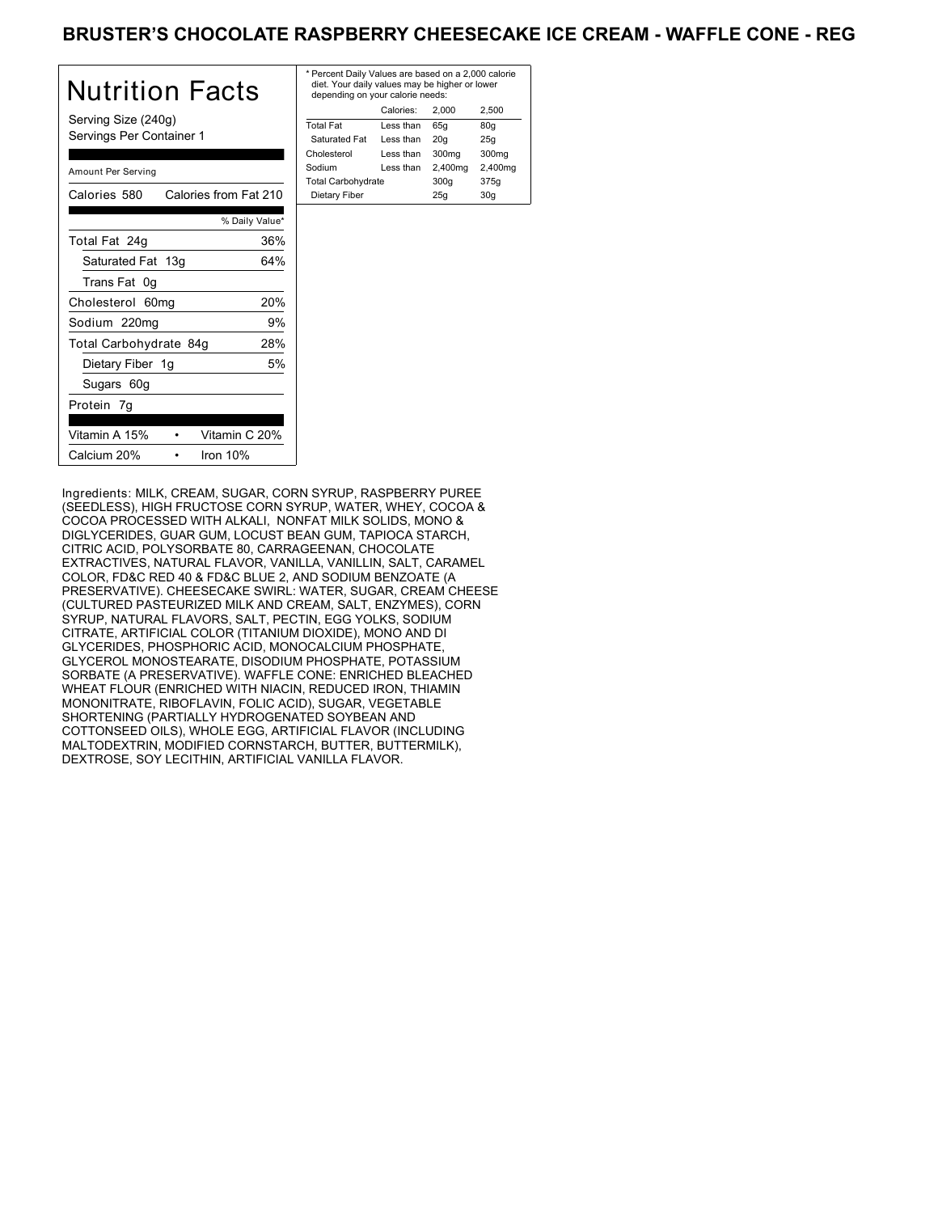### BRUSTER'S CHOCOLATE RASPBERRY CHEESECAKE ICE CREAM - WAFFLE CONE - REG

| Nutrition Facts                                 | * P<br>di<br>d |
|-------------------------------------------------|----------------|
| Serving Size (240g)<br>Servings Per Container 1 | Tot<br>S<br>Ch |
| Amount Per Serving                              | So<br>Tot      |
| Calories from Fat 210<br>Calories 580           | D              |
| % Daily Value*                                  |                |
| Total Fat 24g<br>36%                            |                |
| Saturated Fat 13g<br>64%                        |                |
| Trans Fat 0g                                    |                |
| 20%<br>Cholesterol 60mg                         |                |
| Sodium 220mg<br>9%                              |                |
| 28%<br>Total Carbohydrate 84g                   |                |
| 5%<br>Dietary Fiber 1g                          |                |
| Sugars 60g                                      |                |
| Protein 7g                                      |                |
| Vitamin A 15%<br>Vitamin C 20%                  |                |
| Calcium 20%<br>Iron 10%                         |                |

| * Percent Daily Values are based on a 2,000 calorie<br>diet. Your daily values may be higher or lower<br>depending on your calorie needs: |           |         |         |
|-------------------------------------------------------------------------------------------------------------------------------------------|-----------|---------|---------|
|                                                                                                                                           | Calories: | 2.000   | 2.500   |
| <b>Total Fat</b>                                                                                                                          | Less than | 65q     | 80q     |
| Saturated Fat                                                                                                                             | Less than | 20q     | 25q     |
| Cholesterol                                                                                                                               | Less than | 300mg   | 300mg   |
| Sodium                                                                                                                                    | Less than | 2,400mg | 2,400mg |
| <b>Total Carbohydrate</b>                                                                                                                 |           | 300q    | 375g    |
| Dietary Fiber                                                                                                                             |           | 25q     | 30q     |
|                                                                                                                                           |           |         |         |

Ingredients: MILK, CREAM, SUGAR, CORN SYRUP, RASPBERRY PUREE (SEEDLESS), HIGH FRUCTOSE CORN SYRUP, WATER, WHEY, COCOA & COCOA PROCESSED WITH ALKALI, NONFAT MILK SOLIDS, MONO & DIGLYCERIDES, GUAR GUM, LOCUST BEAN GUM, TAPIOCA STARCH, CITRIC ACID, POLYSORBATE 80, CARRAGEENAN, CHOCOLATE EXTRACTIVES, NATURAL FLAVOR, VANILLA, VANILLIN, SALT, CARAMEL COLOR, FD&C RED 40 & FD&C BLUE 2, AND SODIUM BENZOATE (A PRESERVATIVE). CHEESECAKE SWIRL: WATER, SUGAR, CREAM CHEESE (CULTURED PASTEURIZED MILK AND CREAM, SALT, ENZYMES), CORN SYRUP, NATURAL FLAVORS, SALT, PECTIN, EGG YOLKS, SODIUM CITRATE, ARTIFICIAL COLOR (TITANIUM DIOXIDE), MONO AND DI GLYCERIDES, PHOSPHORIC ACID, MONOCALCIUM PHOSPHATE, GLYCEROL MONOSTEARATE, DISODIUM PHOSPHATE, POTASSIUM SORBATE (A PRESERVATIVE). WAFFLE CONE: ENRICHED BLEACHED WHEAT FLOUR (ENRICHED WITH NIACIN, REDUCED IRON, THIAMIN MONONITRATE, RIBOFLAVIN, FOLIC ACID), SUGAR, VEGETABLE SHORTENING (PARTIALLY HYDROGENATED SOYBEAN AND COTTONSEED OILS), WHOLE EGG, ARTIFICIAL FLAVOR (INCLUDING MALTODEXTRIN, MODIFIED CORNSTARCH, BUTTER, BUTTERMILK), DEXTROSE, SOY LECITHIN, ARTIFICIAL VANILLA FLAVOR.